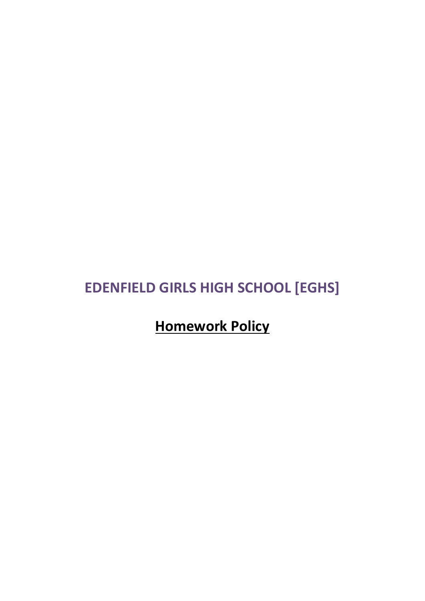# **EDENFIELD GIRLS HIGH SCHOOL [EGHS]**

## **Homework Policy**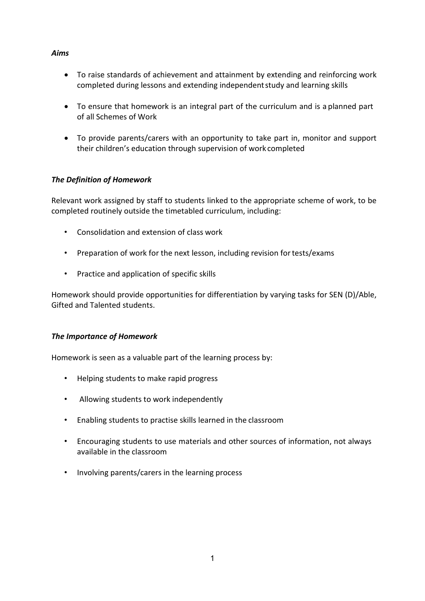#### *Aims*

- To raise standards of achievement and attainment by extending and reinforcing work completed during lessons and extending independentstudy and learning skills
- To ensure that homework is an integral part of the curriculum and is a planned part of all Schemes of Work
- To provide parents/carers with an opportunity to take part in, monitor and support their children's education through supervision of work completed

## *The Definition of Homework*

Relevant work assigned by staff to students linked to the appropriate scheme of work, to be completed routinely outside the timetabled curriculum, including:

- Consolidation and extension of class work
- Preparation of work for the next lesson, including revision for tests/exams
- Practice and application of specific skills

Homework should provide opportunities for differentiation by varying tasks for SEN (D)/Able, Gifted and Talented students.

## *The Importance of Homework*

Homework is seen as a valuable part of the learning process by:

- Helping students to make rapid progress
- Allowing students to work independently
- Enabling students to practise skills learned in the classroom
- Encouraging students to use materials and other sources of information, not always available in the classroom
- Involving parents/carers in the learning process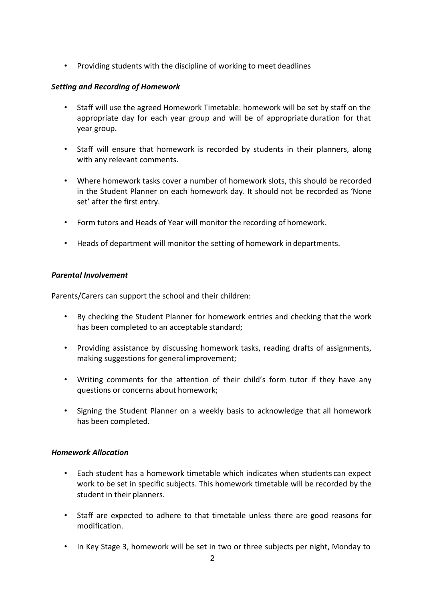• Providing students with the discipline of working to meet deadlines

## *Setting and Recording of Homework*

- Staff will use the agreed Homework Timetable: homework will be set by staff on the appropriate day for each year group and will be of appropriate duration for that year group.
- Staff will ensure that homework is recorded by students in their planners, along with any relevant comments.
- Where homework tasks cover a number of homework slots, this should be recorded in the Student Planner on each homework day. It should not be recorded as 'None set' after the first entry.
- Form tutors and Heads of Year will monitor the recording of homework.
- Heads of department will monitor the setting of homework in departments.

## *Parental Involvement*

Parents/Carers can support the school and their children:

- By checking the Student Planner for homework entries and checking that the work has been completed to an acceptable standard;
- Providing assistance by discussing homework tasks, reading drafts of assignments, making suggestions for general improvement;
- Writing comments for the attention of their child's form tutor if they have any questions or concerns about homework;
- Signing the Student Planner on a weekly basis to acknowledge that all homework has been completed.

## *Homework Allocation*

- Each student has a homework timetable which indicates when students can expect work to be set in specific subjects. This homework timetable will be recorded by the student in their planners.
- Staff are expected to adhere to that timetable unless there are good reasons for modification.
- In Key Stage 3, homework will be set in two or three subjects per night, Monday to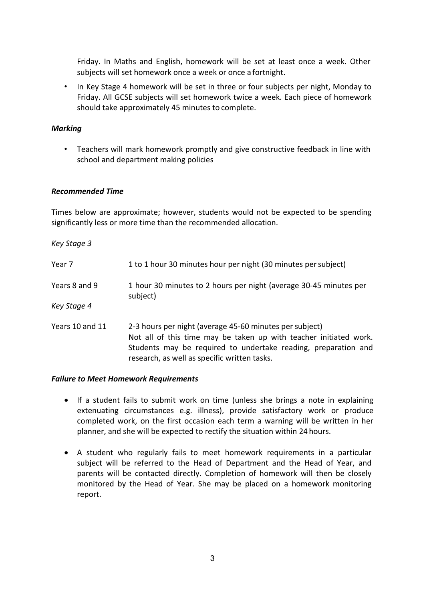Friday. In Maths and English, homework will be set at least once a week. Other subjects will set homework once a week or once a fortnight.

• In Key Stage 4 homework will be set in three or four subjects per night, Monday to Friday. All GCSE subjects will set homework twice a week. Each piece of homework should take approximately 45 minutes to complete.

#### *Marking*

• Teachers will mark homework promptly and give constructive feedback in line with school and department making policies

#### *Recommended Time*

Times below are approximate; however, students would not be expected to be spending significantly less or more time than the recommended allocation.

*Key Stage 3*

| Year 7          | 1 to 1 hour 30 minutes hour per night (30 minutes per subject)                                                                                                                                                                                 |
|-----------------|------------------------------------------------------------------------------------------------------------------------------------------------------------------------------------------------------------------------------------------------|
| Years 8 and 9   | 1 hour 30 minutes to 2 hours per night (average 30-45 minutes per<br>subject)                                                                                                                                                                  |
| Key Stage 4     |                                                                                                                                                                                                                                                |
| Years 10 and 11 | 2-3 hours per night (average 45-60 minutes per subject)<br>Not all of this time may be taken up with teacher initiated work.<br>Students may be required to undertake reading, preparation and<br>research, as well as specific written tasks. |

#### *Failure to Meet Homework Requirements*

- If a student fails to submit work on time (unless she brings a note in explaining extenuating circumstances e.g. illness), provide satisfactory work or produce completed work, on the first occasion each term a warning will be written in her planner, and she will be expected to rectify the situation within 24 hours.
- A student who regularly fails to meet homework requirements in a particular subject will be referred to the Head of Department and the Head of Year, and parents will be contacted directly. Completion of homework will then be closely monitored by the Head of Year. She may be placed on a homework monitoring report.